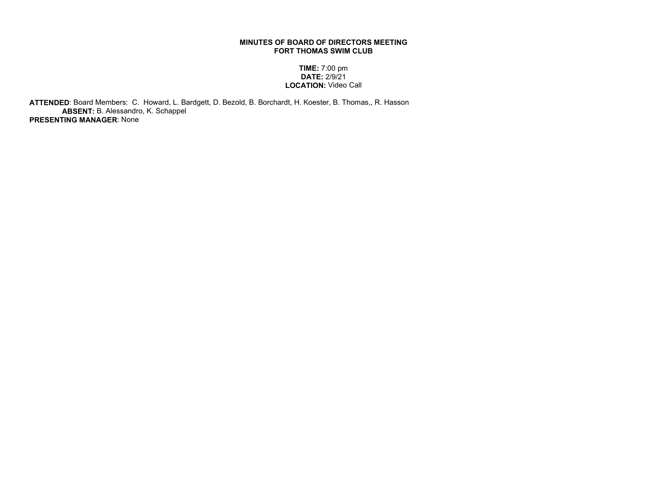## MINUTES OF BOARD OF DIRECTORS MEETING FORT THOMAS SWIM CLUB

## TIME: 7:00 pm DATE: 2/9/21 LOCATION: Video Call

 ATTENDED: Board Members: C. Howard, L. Bardgett, D. Bezold, B. Borchardt, H. Koester, B. Thomas,, R. Hasson ABSENT: B. Alessandro, K. Schappel PRESENTING MANAGER: None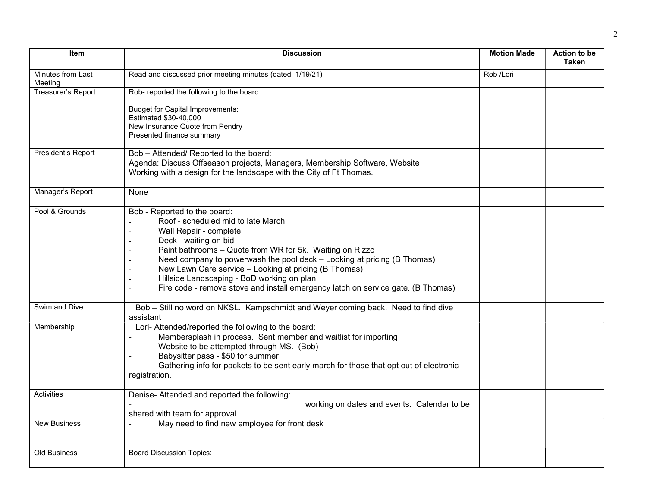| <b>Item</b>                  | <b>Discussion</b>                                                                                                                                                                                                                                                                                                                                                                                                                                       | <b>Motion Made</b> | <b>Action to be</b><br><b>Taken</b> |
|------------------------------|---------------------------------------------------------------------------------------------------------------------------------------------------------------------------------------------------------------------------------------------------------------------------------------------------------------------------------------------------------------------------------------------------------------------------------------------------------|--------------------|-------------------------------------|
| Minutes from Last<br>Meeting | Read and discussed prior meeting minutes (dated 1/19/21)                                                                                                                                                                                                                                                                                                                                                                                                | Rob /Lori          |                                     |
| Treasurer's Report           | Rob- reported the following to the board:<br><b>Budget for Capital Improvements:</b><br>Estimated \$30-40,000<br>New Insurance Quote from Pendry<br>Presented finance summary                                                                                                                                                                                                                                                                           |                    |                                     |
| President's Report           | Bob - Attended/ Reported to the board:<br>Agenda: Discuss Offseason projects, Managers, Membership Software, Website<br>Working with a design for the landscape with the City of Ft Thomas.                                                                                                                                                                                                                                                             |                    |                                     |
| Manager's Report             | None                                                                                                                                                                                                                                                                                                                                                                                                                                                    |                    |                                     |
| Pool & Grounds               | Bob - Reported to the board:<br>Roof - scheduled mid to late March<br>Wall Repair - complete<br>Deck - waiting on bid<br>Paint bathrooms - Quote from WR for 5k. Waiting on Rizzo<br>Need company to powerwash the pool deck - Looking at pricing (B Thomas)<br>New Lawn Care service - Looking at pricing (B Thomas)<br>Hillside Landscaping - BoD working on plan<br>Fire code - remove stove and install emergency latch on service gate. (B Thomas) |                    |                                     |
| Swim and Dive                | Bob - Still no word on NKSL. Kampschmidt and Weyer coming back. Need to find dive<br>assistant                                                                                                                                                                                                                                                                                                                                                          |                    |                                     |
| Membership                   | Lori- Attended/reported the following to the board:<br>Membersplash in process. Sent member and waitlist for importing<br>Website to be attempted through MS. (Bob)<br>Babysitter pass - \$50 for summer<br>Gathering info for packets to be sent early march for those that opt out of electronic<br>registration.                                                                                                                                     |                    |                                     |
| Activities                   | Denise- Attended and reported the following:<br>working on dates and events. Calendar to be<br>shared with team for approval.                                                                                                                                                                                                                                                                                                                           |                    |                                     |
| <b>New Business</b>          | May need to find new employee for front desk                                                                                                                                                                                                                                                                                                                                                                                                            |                    |                                     |
| <b>Old Business</b>          | <b>Board Discussion Topics:</b>                                                                                                                                                                                                                                                                                                                                                                                                                         |                    |                                     |